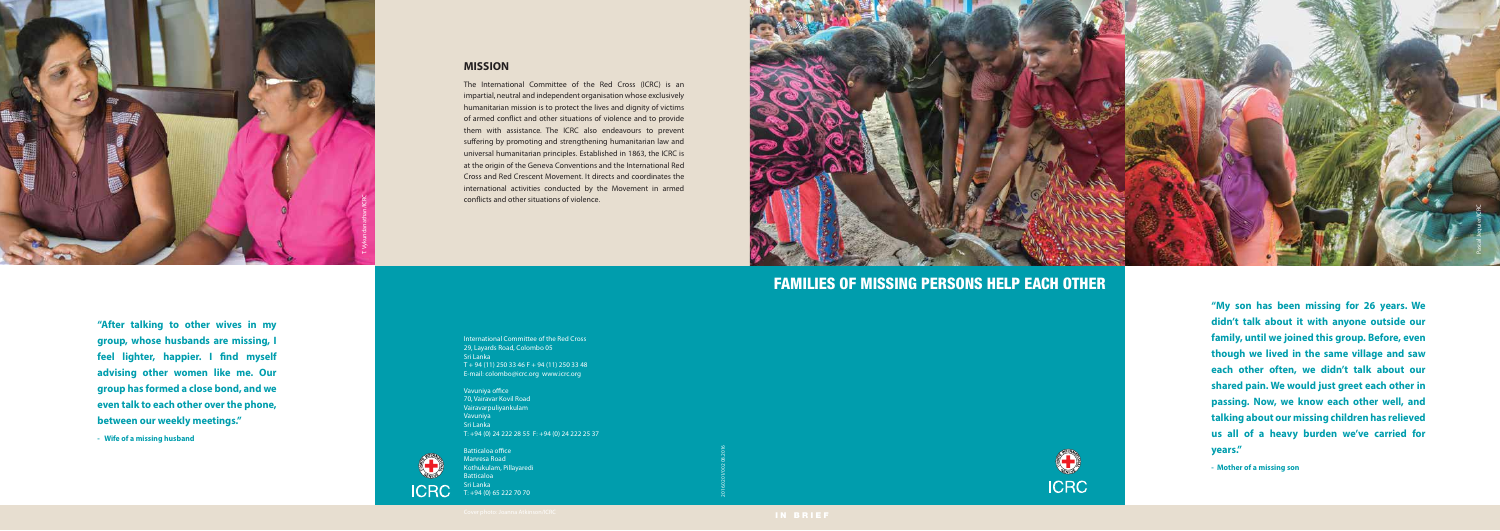**"My son has been missing for 26 years. We didn't talk about it with anyone outside our family, until we joined this group. Before, even though we lived in the same village and saw each other often, we didn't talk about our shared pain. We would just greet each other in passing. Now, we know each other well, and talking about our missing children has relieved us all of a heavy burden we've carried for years."**

The International Committee of the Red Cross (ICRC) is an impartial, neutral and independent organisation whose exclusively humanitarian mission is to protect the lives and dignity of victims of armed conflict and other situations of violence and to provide them with assistance. The ICRC also endeavours to prevent suffering by promoting and strengthening humanitarian law and universal humanitarian principles. Established in 1863, the ICRC is at the origin of the Geneva Conventions and the International Red Cross and Red Crescent Movement. It directs and coordinates the international activities conducted by the Movement in armed conflicts and other situations of violence.

**- Mother of a missing son**

**"After talking to other wives in my group, whose husbands are missing, I**  feel lighter, happier. I find myself **advising other women like me. Our group has formed a close bond, and we even talk to each other over the phone, between our weekly meetings."**

**- Wife of a missing husband**

# **MISSION**

Vavuniya office 70, Vairavar Kovil Road Vairavarpuliyankulam Vavuniya Sri Lanka T: +94 (0) 24 222 28 55 F: +94 (0) 24 222 25 37



Batticaloa office Manresa Road Kothukulam, Pillayaredi **Batticaloa** Sri Lanka T: +94 (0) 65 222 70 70

FAMILIES OF MISSING PERSONS HELP EACH OTHER



2016.0201/002 08.2016





International Committee of the Red Cross 29, Layards Road, Colombo 05 Sri Lanka  $T + 94 (11) 250 33 46 F + 94 (11) 250 33 48$ E-mail: colombo@icrc.org www.icrc.org